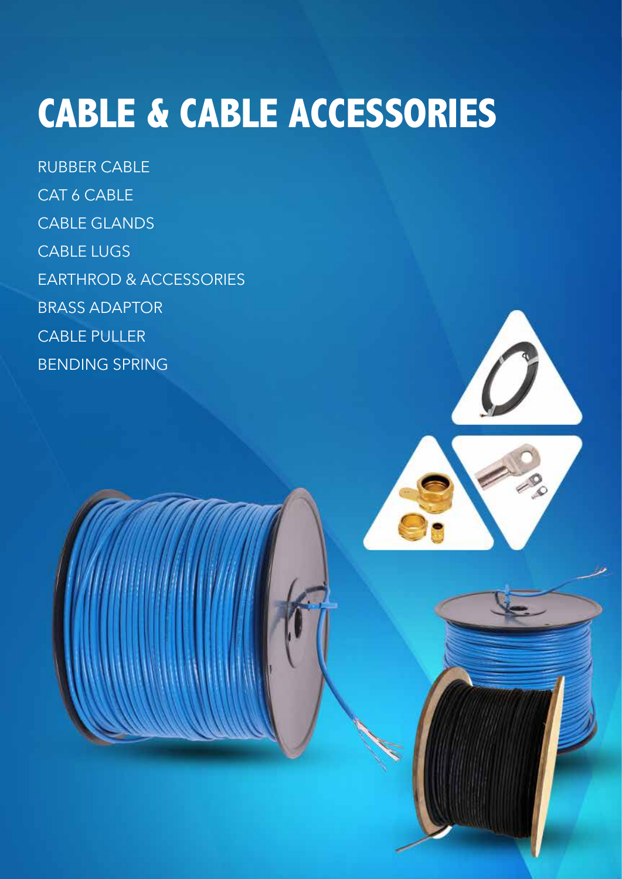# **CABLE & CABLE ACCESSORIES**

RUBBER CABLE CAT 6 CABLE CABLE GLANDS CABLE LUGS EARTHROD & ACCESSORIES BRASS ADAPTOR CABLE PULLER BENDING SPRING



**www.kedbrooke.com**